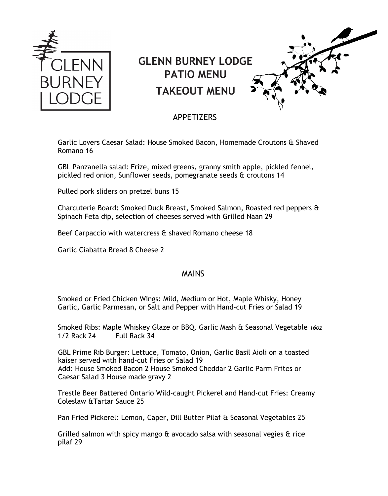

## **GLENN BURNEY LODGE PATIO MENU TAKEOUT MENU**



## APPETIZERS

Garlic Lovers Caesar Salad: House Smoked Bacon, Homemade Croutons & Shaved Romano 16

GBL Panzanella salad: Frize, mixed greens, granny smith apple, pickled fennel, pickled red onion, Sunflower seeds, pomegranate seeds & croutons 14

Pulled pork sliders on pretzel buns 15

Charcuterie Board: Smoked Duck Breast, Smoked Salmon, Roasted red peppers & Spinach Feta dip, selection of cheeses served with Grilled Naan 29

Beef Carpaccio with watercress & shaved Romano cheese 18

Garlic Ciabatta Bread 8 Cheese 2

## MAINS

Smoked or Fried Chicken Wings: Mild, Medium or Hot, Maple Whisky, Honey Garlic, Garlic Parmesan, or Salt and Pepper with Hand-cut Fries or Salad 19

Smoked Ribs: Maple Whiskey Glaze or BBQ. Garlic Mash & Seasonal Vegetable *16oz* 1/2 Rack 24 Full Rack 34

GBL Prime Rib Burger: Lettuce, Tomato, Onion, Garlic Basil Aioli on a toasted kaiser served with hand-cut Fries or Salad 19 Add: House Smoked Bacon 2 House Smoked Cheddar 2 Garlic Parm Frites or Caesar Salad 3 House made gravy 2

Trestle Beer Battered Ontario Wild-caught Pickerel and Hand-cut Fries: Creamy Coleslaw &Tartar Sauce 25

Pan Fried Pickerel: Lemon, Caper, Dill Butter Pilaf & Seasonal Vegetables 25

Grilled salmon with spicy mango & avocado salsa with seasonal vegies & rice pilaf 29